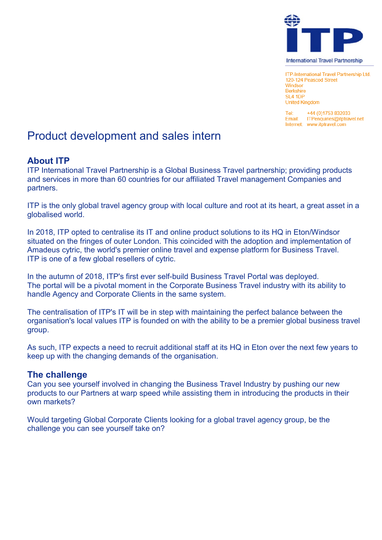

**ITP-International Travel Partnership Ltd.** 120-124 Peascod Street Windsor **Rerkshire SL4 1DP United Kingdom** 

Tel: +44 (0)1753 832033 Email: ITPenquiries@itptravel.net Internet: www.itptravel.com

# Product development and sales intern

## **About ITP**

ITP International Travel Partnership is a Global Business Travel partnership; providing products and services in more than 60 countries for our affiliated Travel management Companies and partners.

ITP is the only global travel agency group with local culture and root at its heart, a great asset in a globalised world.

In 2018, ITP opted to centralise its IT and online product solutions to its HQ in Eton/Windsor situated on the fringes of outer London. This coincided with the adoption and implementation of Amadeus cytric, the world's premier online travel and expense platform for Business Travel. ITP is one of a few global resellers of cytric.

In the autumn of 2018, ITP's first ever self-build Business Travel Portal was deployed. The portal will be a pivotal moment in the Corporate Business Travel industry with its ability to handle Agency and Corporate Clients in the same system.

The centralisation of ITP's IT will be in step with maintaining the perfect balance between the organisation's local values ITP is founded on with the ability to be a premier global business travel group.

As such, ITP expects a need to recruit additional staff at its HQ in Eton over the next few years to keep up with the changing demands of the organisation.

### **The challenge**

Can you see yourself involved in changing the Business Travel Industry by pushing our new products to our Partners at warp speed while assisting them in introducing the products in their own markets?

Would targeting Global Corporate Clients looking for a global travel agency group, be the challenge you can see yourself take on?